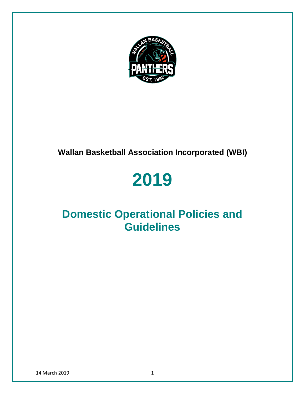

# **Wallan Basketball Association Incorporated (WBI)**

# **2019**

# **Domestic Operational Policies and Guidelines**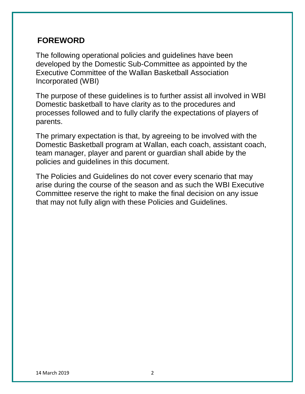### **FOREWORD**

The following operational policies and guidelines have been developed by the Domestic Sub-Committee as appointed by the Executive Committee of the Wallan Basketball Association Incorporated (WBI)

The purpose of these guidelines is to further assist all involved in WBI Domestic basketball to have clarity as to the procedures and processes followed and to fully clarify the expectations of players of parents.

The primary expectation is that, by agreeing to be involved with the Domestic Basketball program at Wallan, each coach, assistant coach, team manager, player and parent or guardian shall abide by the policies and guidelines in this document.

The Policies and Guidelines do not cover every scenario that may arise during the course of the season and as such the WBI Executive Committee reserve the right to make the final decision on any issue that may not fully align with these Policies and Guidelines.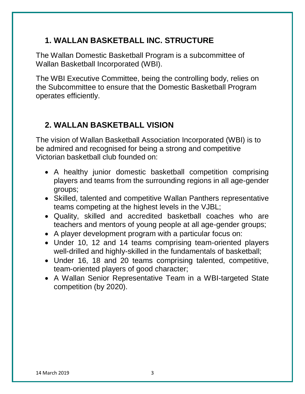# **1. WALLAN BASKETBALL INC. STRUCTURE**

The Wallan Domestic Basketball Program is a subcommittee of Wallan Basketball Incorporated (WBI).

The WBI Executive Committee, being the controlling body, relies on the Subcommittee to ensure that the Domestic Basketball Program operates efficiently.

# **2. WALLAN BASKETBALL VISION**

The vision of Wallan Basketball Association Incorporated (WBI) is to be admired and recognised for being a strong and competitive Victorian basketball club founded on:

- A healthy junior domestic basketball competition comprising players and teams from the surrounding regions in all age-gender groups;
- Skilled, talented and competitive Wallan Panthers representative teams competing at the highest levels in the VJBL;
- Quality, skilled and accredited basketball coaches who are teachers and mentors of young people at all age-gender groups;
- A player development program with a particular focus on:
- Under 10, 12 and 14 teams comprising team-oriented players well-drilled and highly-skilled in the fundamentals of basketball;
- Under 16, 18 and 20 teams comprising talented, competitive, team-oriented players of good character;
- A Wallan Senior Representative Team in a WBI-targeted State competition (by 2020).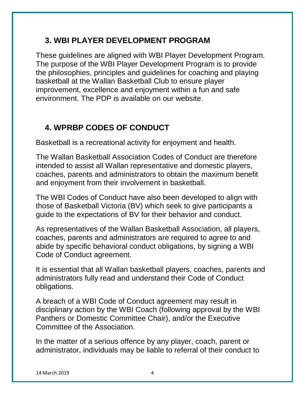# **3. WBI PLAYER DEVELOPMENT PROGRAM**

These guidelines are aligned with WBI Player Development Program. The purpose of the WBI Player Development Program is to provide the philosophies, principles and guidelines for coaching and playing basketball at the Wallan Basketball Club to ensure player improvement, excellence and enjoyment within a fun and safe environment. The PDP is available on our website.

# **4. WPRBP CODES OF CONDUCT**

Basketball is a recreational activity for enjoyment and health.

The Wallan Basketball Association Codes of Conduct are therefore intended to assist all Wallan representative and domestic players, coaches, parents and administrators to obtain the maximum benefit and enjoyment from their involvement in basketball.

The WBI Codes of Conduct have also been developed to align with those of Basketball Victoria (BV) which seek to give participants a guide to the expectations of BV for their behavior and conduct.

As representatives of the Wallan Basketball Association, all players, coaches, parents and administrators are required to agree to and abide by specific behavioral conduct obligations, by signing a WBI Code of Conduct agreement.

It is essential that all Wallan basketball players, coaches, parents and administrators fully read and understand their Code of Conduct obligations.

A breach of a WBI Code of Conduct agreement may result in disciplinary action by the WBI Coach (following approval by the WBI Panthers or Domestic Committee Chair), and/or the Executive Committee of the Association.

In the matter of a serious offence by any player, coach, parent or administrator, individuals may be liable to referral of their conduct to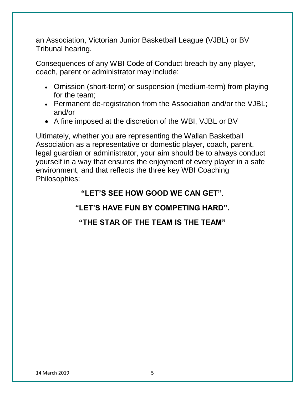an Association, Victorian Junior Basketball League (VJBL) or BV Tribunal hearing.

Consequences of any WBI Code of Conduct breach by any player, coach, parent or administrator may include:

- Omission (short-term) or suspension (medium-term) from playing for the team;
- Permanent de-registration from the Association and/or the VJBL; and/or
- A fine imposed at the discretion of the WBI, VJBL or BV

Ultimately, whether you are representing the Wallan Basketball Association as a representative or domestic player, coach, parent, legal guardian or administrator, your aim should be to always conduct yourself in a way that ensures the enjoyment of every player in a safe environment, and that reflects the three key WBI Coaching Philosophies:

#### **"LET'S SEE HOW GOOD WE CAN GET".**

### **"LET'S HAVE FUN BY COMPETING HARD".**

#### **"THE STAR OF THE TEAM IS THE TEAM"**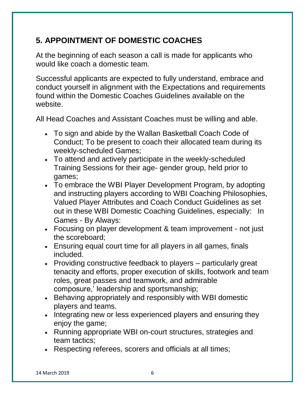# **5. APPOINTMENT OF DOMESTIC COACHES**

At the beginning of each season a call is made for applicants who would like coach a domestic team.

Successful applicants are expected to fully understand, embrace and conduct yourself in alignment with the Expectations and requirements found within the Domestic Coaches Guidelines available on the website.

All Head Coaches and Assistant Coaches must be willing and able.

- To sign and abide by the Wallan Basketball Coach Code of Conduct; To be present to coach their allocated team during its weekly-scheduled Games;
- To attend and actively participate in the weekly-scheduled Training Sessions for their age- gender group, held prior to games;
- To embrace the WBI Player Development Program, by adopting and instructing players according to WBI Coaching Philosophies, Valued Player Attributes and Coach Conduct Guidelines as set out in these WBI Domestic Coaching Guidelines, especially: In Games - By Always:
- Focusing on player development & team improvement not just the scoreboard;
- Ensuring equal court time for all players in all games, finals included.
- Providing constructive feedback to players particularly great tenacity and efforts, proper execution of skills, footwork and team roles, great passes and teamwork, and admirable composure,' leadership and sportsmanship;
- Behaving appropriately and responsibly with WBI domestic players and teams.
- Integrating new or less experienced players and ensuring they enjoy the game;
- Running appropriate WBI on-court structures, strategies and team tactics;
- Respecting referees, scorers and officials at all times;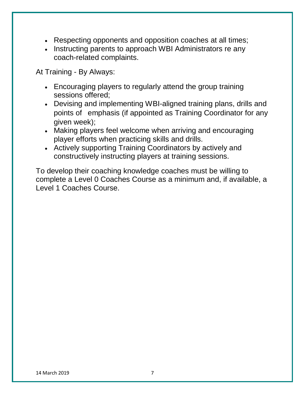- Respecting opponents and opposition coaches at all times;
- Instructing parents to approach WBI Administrators re any coach-related complaints.

At Training - By Always:

- Encouraging players to regularly attend the group training sessions offered;
- Devising and implementing WBI-aligned training plans, drills and points of emphasis (if appointed as Training Coordinator for any given week);
- Making players feel welcome when arriving and encouraging player efforts when practicing skills and drills.
- Actively supporting Training Coordinators by actively and constructively instructing players at training sessions.

To develop their coaching knowledge coaches must be willing to complete a Level 0 Coaches Course as a minimum and, if available, a Level 1 Coaches Course.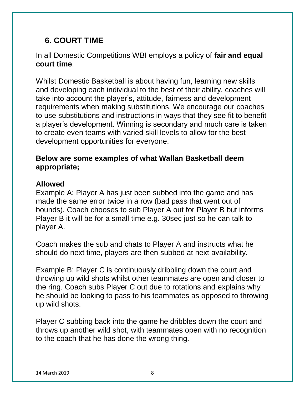# **6. COURT TIME**

#### In all Domestic Competitions WBI employs a policy of **fair and equal court time**.

Whilst Domestic Basketball is about having fun, learning new skills and developing each individual to the best of their ability, coaches will take into account the player's, attitude, fairness and development requirements when making substitutions. We encourage our coaches to use substitutions and instructions in ways that they see fit to benefit a player's development. Winning is secondary and much care is taken to create even teams with varied skill levels to allow for the best development opportunities for everyone.

#### **Below are some examples of what Wallan Basketball deem appropriate;**

#### **Allowed**

Example A: Player A has just been subbed into the game and has made the same error twice in a row (bad pass that went out of bounds). Coach chooses to sub Player A out for Player B but informs Player B it will be for a small time e.g. 30sec just so he can talk to player A.

Coach makes the sub and chats to Player A and instructs what he should do next time, players are then subbed at next availability.

Example B: Player C is continuously dribbling down the court and throwing up wild shots whilst other teammates are open and closer to the ring. Coach subs Player C out due to rotations and explains why he should be looking to pass to his teammates as opposed to throwing up wild shots.

Player C subbing back into the game he dribbles down the court and throws up another wild shot, with teammates open with no recognition to the coach that he has done the wrong thing.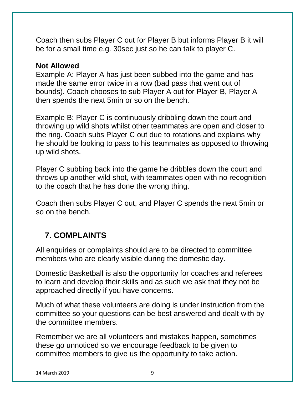Coach then subs Player C out for Player B but informs Player B it will be for a small time e.g. 30sec just so he can talk to player C.

#### **Not Allowed**

Example A: Player A has just been subbed into the game and has made the same error twice in a row (bad pass that went out of bounds). Coach chooses to sub Player A out for Player B, Player A then spends the next 5min or so on the bench.

Example B: Player C is continuously dribbling down the court and throwing up wild shots whilst other teammates are open and closer to the ring. Coach subs Player C out due to rotations and explains why he should be looking to pass to his teammates as opposed to throwing up wild shots.

Player C subbing back into the game he dribbles down the court and throws up another wild shot, with teammates open with no recognition to the coach that he has done the wrong thing.

Coach then subs Player C out, and Player C spends the next 5min or so on the bench.

### **7. COMPLAINTS**

All enquiries or complaints should are to be directed to committee members who are clearly visible during the domestic day.

Domestic Basketball is also the opportunity for coaches and referees to learn and develop their skills and as such we ask that they not be approached directly if you have concerns.

Much of what these volunteers are doing is under instruction from the committee so your questions can be best answered and dealt with by the committee members.

Remember we are all volunteers and mistakes happen, sometimes these go unnoticed so we encourage feedback to be given to committee members to give us the opportunity to take action.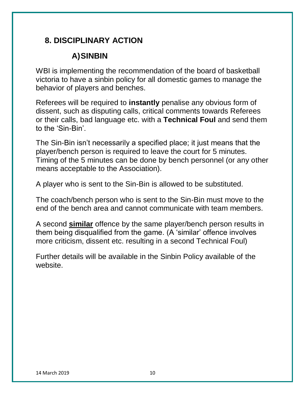# **8. DISCIPLINARY ACTION**

# **A)SINBIN**

WBI is implementing the recommendation of the board of basketball victoria to have a sinbin policy for all domestic games to manage the behavior of players and benches.

Referees will be required to **instantly** penalise any obvious form of dissent, such as disputing calls, critical comments towards Referees or their calls, bad language etc. with a **Technical Foul** and send them to the 'Sin-Bin'.

The Sin-Bin isn't necessarily a specified place; it just means that the player/bench person is required to leave the court for 5 minutes. Timing of the 5 minutes can be done by bench personnel (or any other means acceptable to the Association).

A player who is sent to the Sin-Bin is allowed to be substituted.

The coach/bench person who is sent to the Sin-Bin must move to the end of the bench area and cannot communicate with team members.

A second **similar** offence by the same player/bench person results in them being disqualified from the game. (A 'similar' offence involves more criticism, dissent etc. resulting in a second Technical Foul)

Further details will be available in the Sinbin Policy available of the website.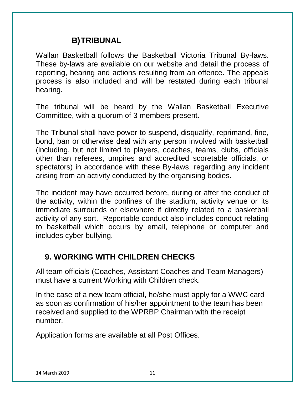#### **B)TRIBUNAL**

Wallan Basketball follows the Basketball Victoria Tribunal By-laws. These by-laws are available on our website and detail the process of reporting, hearing and actions resulting from an offence. The appeals process is also included and will be restated during each tribunal hearing.

The tribunal will be heard by the Wallan Basketball Executive Committee, with a quorum of 3 members present.

The Tribunal shall have power to suspend, disqualify, reprimand, fine, bond, ban or otherwise deal with any person involved with basketball (including, but not limited to players, coaches, teams, clubs, officials other than referees, umpires and accredited scoretable officials, or spectators) in accordance with these By-laws, regarding any incident arising from an activity conducted by the organising bodies.

The incident may have occurred before, during or after the conduct of the activity, within the confines of the stadium, activity venue or its immediate surrounds or elsewhere if directly related to a basketball activity of any sort. Reportable conduct also includes conduct relating to basketball which occurs by email, telephone or computer and includes cyber bullying.

#### **9. WORKING WITH CHILDREN CHECKS**

All team officials (Coaches, Assistant Coaches and Team Managers) must have a current Working with Children check.

In the case of a new team official, he/she must apply for a WWC card as soon as confirmation of his/her appointment to the team has been received and supplied to the WPRBP Chairman with the receipt number.

Application forms are available at all Post Offices.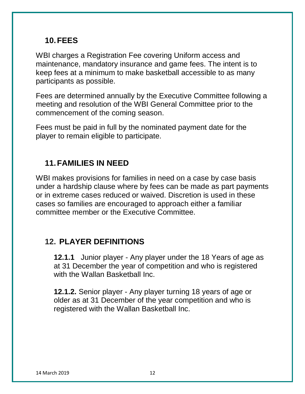#### **10.FEES**

WBI charges a Registration Fee covering Uniform access and maintenance, mandatory insurance and game fees. The intent is to keep fees at a minimum to make basketball accessible to as many participants as possible.

Fees are determined annually by the Executive Committee following a meeting and resolution of the WBI General Committee prior to the commencement of the coming season.

Fees must be paid in full by the nominated payment date for the player to remain eligible to participate.

### **11.FAMILIES IN NEED**

WBI makes provisions for families in need on a case by case basis under a hardship clause where by fees can be made as part payments or in extreme cases reduced or waived. Discretion is used in these cases so families are encouraged to approach either a familiar committee member or the Executive Committee.

### **12. PLAYER DEFINITIONS**

**12.1.1** Junior player - Any player under the 18 Years of age as at 31 December the year of competition and who is registered with the Wallan Basketball Inc.

**12.1.2.** Senior player - Any player turning 18 years of age or older as at 31 December of the year competition and who is registered with the Wallan Basketball Inc.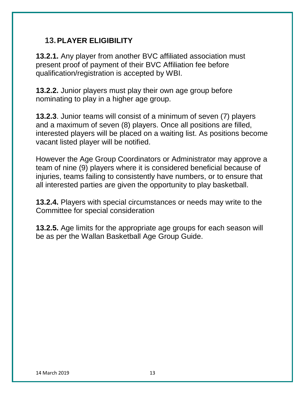#### **13.PLAYER ELIGIBILITY**

**13.2.1.** Any player from another BVC affiliated association must present proof of payment of their BVC Affiliation fee before qualification/registration is accepted by WBI.

**13.2.2.** Junior players must play their own age group before nominating to play in a higher age group.

**13.2.3**. Junior teams will consist of a minimum of seven (7) players and a maximum of seven (8) players. Once all positions are filled, interested players will be placed on a waiting list. As positions become vacant listed player will be notified.

However the Age Group Coordinators or Administrator may approve a team of nine (9) players where it is considered beneficial because of injuries, teams failing to consistently have numbers, or to ensure that all interested parties are given the opportunity to play basketball.

**13.2.4.** Players with special circumstances or needs may write to the Committee for special consideration

**13.2.5.** Age limits for the appropriate age groups for each season will be as per the Wallan Basketball Age Group Guide.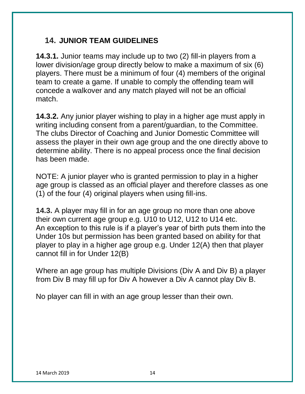#### **14. JUNIOR TEAM GUIDELINES**

**14.3.1.** Junior teams may include up to two (2) fill-in players from a lower division/age group directly below to make a maximum of six (6) players. There must be a minimum of four (4) members of the original team to create a game. If unable to comply the offending team will concede a walkover and any match played will not be an official match.

**14.3.2.** Any junior player wishing to play in a higher age must apply in writing including consent from a parent/guardian, to the Committee. The clubs Director of Coaching and Junior Domestic Committee will assess the player in their own age group and the one directly above to determine ability. There is no appeal process once the final decision has been made.

NOTE: A junior player who is granted permission to play in a higher age group is classed as an official player and therefore classes as one (1) of the four (4) original players when using fill-ins.

**14.3.** A player may fill in for an age group no more than one above their own current age group e.g. U10 to U12, U12 to U14 etc. An exception to this rule is if a player's year of birth puts them into the Under 10s but permission has been granted based on ability for that player to play in a higher age group e.g. Under 12(A) then that player cannot fill in for Under 12(B)

Where an age group has multiple Divisions (Div A and Div B) a player from Div B may fill up for Div A however a Div A cannot play Div B.

No player can fill in with an age group lesser than their own.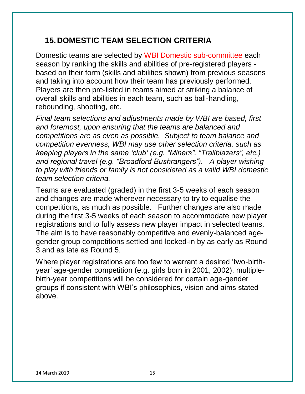# **15.DOMESTIC TEAM SELECTION CRITERIA**

Domestic teams are selected by WBI Domestic sub-committee each season by ranking the skills and abilities of pre-registered players based on their form (skills and abilities shown) from previous seasons and taking into account how their team has previously performed. Players are then pre-listed in teams aimed at striking a balance of overall skills and abilities in each team, such as ball-handling, rebounding, shooting, etc.

*Final team selections and adjustments made by WBI are based, first and foremost, upon ensuring that the teams are balanced and competitions are as even as possible. Subject to team balance and competition evenness, WBI may use other selection criteria, such as keeping players in the same 'club' (e.g. "Miners", "Trailblazers", etc.) and regional travel (e.g. "Broadford Bushrangers"). A player wishing to play with friends or family is not considered as a valid WBI domestic team selection criteria.*

Teams are evaluated (graded) in the first 3-5 weeks of each season and changes are made wherever necessary to try to equalise the competitions, as much as possible. Further changes are also made during the first 3-5 weeks of each season to accommodate new player registrations and to fully assess new player impact in selected teams. The aim is to have reasonably competitive and evenly-balanced agegender group competitions settled and locked-in by as early as Round 3 and as late as Round 5.

Where player registrations are too few to warrant a desired 'two-birthyear' age-gender competition (e.g. girls born in 2001, 2002), multiplebirth-year competitions will be considered for certain age-gender groups if consistent with WBI's philosophies, vision and aims stated above.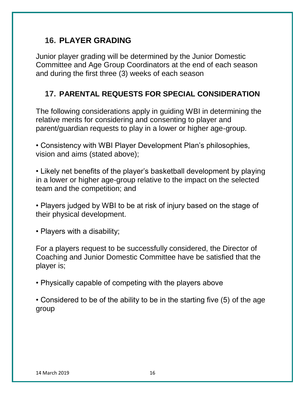# **16. PLAYER GRADING**

Junior player grading will be determined by the Junior Domestic Committee and Age Group Coordinators at the end of each season and during the first three (3) weeks of each season

#### **17. PARENTAL REQUESTS FOR SPECIAL CONSIDERATION**

The following considerations apply in guiding WBI in determining the relative merits for considering and consenting to player and parent/guardian requests to play in a lower or higher age-group.

• Consistency with WBI Player Development Plan's philosophies, vision and aims (stated above);

• Likely net benefits of the player's basketball development by playing in a lower or higher age-group relative to the impact on the selected team and the competition; and

• Players judged by WBI to be at risk of injury based on the stage of their physical development.

• Players with a disability;

For a players request to be successfully considered, the Director of Coaching and Junior Domestic Committee have be satisfied that the player is;

• Physically capable of competing with the players above

• Considered to be of the ability to be in the starting five (5) of the age group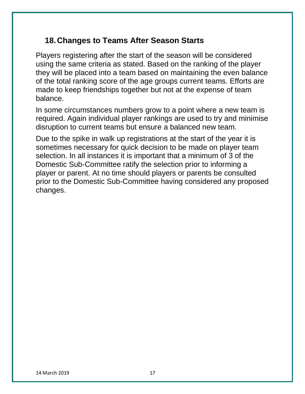#### **18.Changes to Teams After Season Starts**

Players registering after the start of the season will be considered using the same criteria as stated. Based on the ranking of the player they will be placed into a team based on maintaining the even balance of the total ranking score of the age groups current teams. Efforts are made to keep friendships together but not at the expense of team balance.

In some circumstances numbers grow to a point where a new team is required. Again individual player rankings are used to try and minimise disruption to current teams but ensure a balanced new team.

Due to the spike in walk up registrations at the start of the year it is sometimes necessary for quick decision to be made on player team selection. In all instances it is important that a minimum of 3 of the Domestic Sub-Committee ratify the selection prior to informing a player or parent. At no time should players or parents be consulted prior to the Domestic Sub-Committee having considered any proposed changes.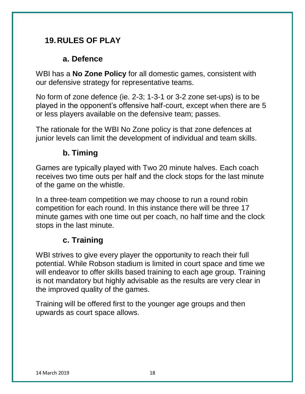# **19.RULES OF PLAY**

#### **a. Defence**

WBI has a **No Zone Policy** for all domestic games, consistent with our defensive strategy for representative teams.

No form of zone defence (ie. 2-3; 1-3-1 or 3-2 zone set-ups) is to be played in the opponent's offensive half-court, except when there are 5 or less players available on the defensive team; passes.

The rationale for the WBI No Zone policy is that zone defences at junior levels can limit the development of individual and team skills.

# **b. Timing**

Games are typically played with Two 20 minute halves. Each coach receives two time outs per half and the clock stops for the last minute of the game on the whistle.

In a three-team competition we may choose to run a round robin competition for each round. In this instance there will be three 17 minute games with one time out per coach, no half time and the clock stops in the last minute.

# **c. Training**

WBI strives to give every player the opportunity to reach their full potential. While Robson stadium is limited in court space and time we will endeavor to offer skills based training to each age group. Training is not mandatory but highly advisable as the results are very clear in the improved quality of the games.

Training will be offered first to the younger age groups and then upwards as court space allows.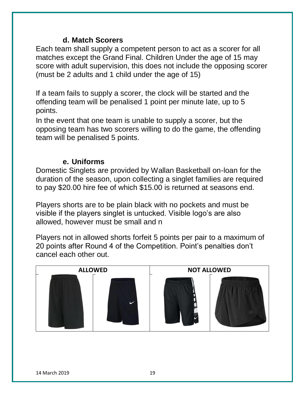#### **d. Match Scorers**

Each team shall supply a competent person to act as a scorer for all matches except the Grand Final. Children Under the age of 15 may score with adult supervision, this does not include the opposing scorer (must be 2 adults and 1 child under the age of 15)

If a team fails to supply a scorer, the clock will be started and the offending team will be penalised 1 point per minute late, up to 5 points.

In the event that one team is unable to supply a scorer, but the opposing team has two scorers willing to do the game, the offending team will be penalised 5 points.

#### **e. Uniforms**

Domestic Singlets are provided by Wallan Basketball on-loan for the duration of the season, upon collecting a singlet families are required to pay \$20.00 hire fee of which \$15.00 is returned at seasons end.

Players shorts are to be plain black with no pockets and must be visible if the players singlet is untucked. Visible logo's are also allowed, however must be small and n

Players not in allowed shorts forfeit 5 points per pair to a maximum of 20 points after Round 4 of the Competition. Point's penalties don't cancel each other out.

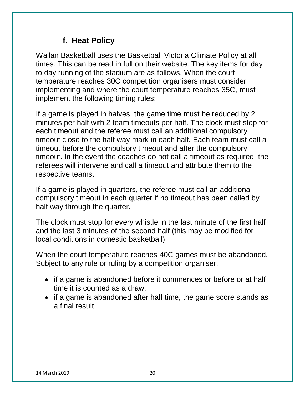### **f. Heat Policy**

Wallan Basketball uses the Basketball Victoria Climate Policy at all times. This can be read in full on their website. The key items for day to day running of the stadium are as follows. When the court temperature reaches 30C competition organisers must consider implementing and where the court temperature reaches 35C, must implement the following timing rules:

If a game is played in halves, the game time must be reduced by 2 minutes per half with 2 team timeouts per half. The clock must stop for each timeout and the referee must call an additional compulsory timeout close to the half way mark in each half. Each team must call a timeout before the compulsory timeout and after the compulsory timeout. In the event the coaches do not call a timeout as required, the referees will intervene and call a timeout and attribute them to the respective teams.

If a game is played in quarters, the referee must call an additional compulsory timeout in each quarter if no timeout has been called by half way through the quarter.

The clock must stop for every whistle in the last minute of the first half and the last 3 minutes of the second half (this may be modified for local conditions in domestic basketball).

When the court temperature reaches 40C games must be abandoned. Subject to any rule or ruling by a competition organiser,

- if a game is abandoned before it commences or before or at half time it is counted as a draw;
- if a game is abandoned after half time, the game score stands as a final result.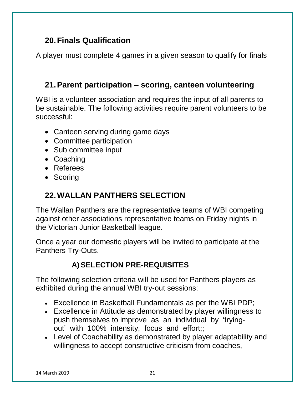# **20.Finals Qualification**

A player must complete 4 games in a given season to qualify for finals

### **21.Parent participation – scoring, canteen volunteering**

WBI is a volunteer association and requires the input of all parents to be sustainable. The following activities require parent volunteers to be successful:

- Canteen serving during game days
- Committee participation
- Sub committee input
- Coaching
- Referees
- Scoring

# **22.WALLAN PANTHERS SELECTION**

The Wallan Panthers are the representative teams of WBI competing against other associations representative teams on Friday nights in the Victorian Junior Basketball league.

Once a year our domestic players will be invited to participate at the Panthers Try-Outs.

# **A) SELECTION PRE-REQUISITES**

The following selection criteria will be used for Panthers players as exhibited during the annual WBI try-out sessions:

- Excellence in Basketball Fundamentals as per the WBI PDP;
- Excellence in Attitude as demonstrated by player willingness to push themselves to improve as an individual by 'tryingout' with 100% intensity, focus and effort;;
- Level of Coachability as demonstrated by player adaptability and willingness to accept constructive criticism from coaches,